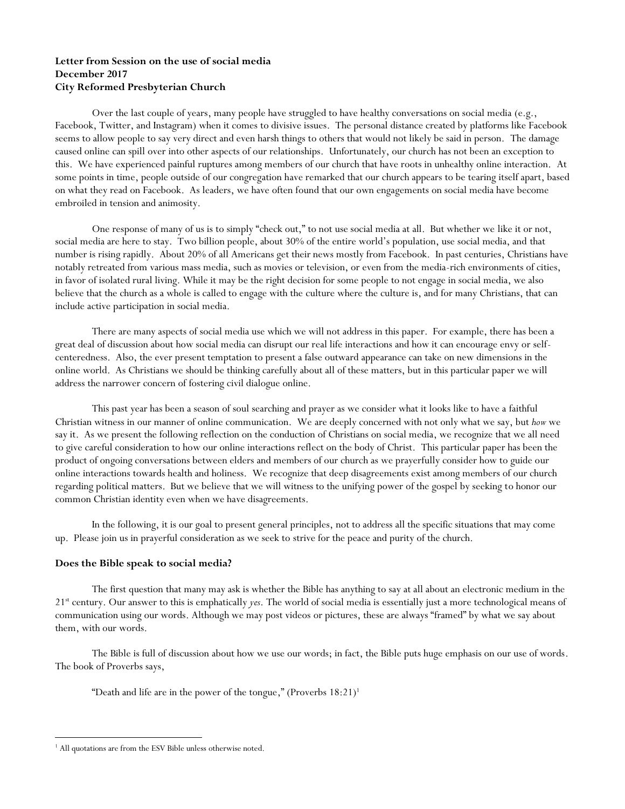# **Letter from Session on the use of social media December 2017 City Reformed Presbyterian Church**

Over the last couple of years, many people have struggled to have healthy conversations on social media (e.g., Facebook, Twitter, and Instagram) when it comes to divisive issues. The personal distance created by platforms like Facebook seems to allow people to say very direct and even harsh things to others that would not likely be said in person. The damage caused online can spill over into other aspects of our relationships. Unfortunately, our church has not been an exception to this. We have experienced painful ruptures among members of our church that have roots in unhealthy online interaction. At some points in time, people outside of our congregation have remarked that our church appears to be tearing itself apart, based on what they read on Facebook. As leaders, we have often found that our own engagements on social media have become embroiled in tension and animosity.

One response of many of us is to simply "check out," to not use social media at all. But whether we like it or not, social media are here to stay. Two billion people, about 30% of the entire world's population, use social media, and that number is rising rapidly. About 20% of all Americans get their news mostly from Facebook. In past centuries, Christians have notably retreated from various mass media, such as movies or television, or even from the media-rich environments of cities, in favor of isolated rural living. While it may be the right decision for some people to not engage in social media, we also believe that the church as a whole is called to engage with the culture where the culture is, and for many Christians, that can include active participation in social media.

There are many aspects of social media use which we will not address in this paper. For example, there has been a great deal of discussion about how social media can disrupt our real life interactions and how it can encourage envy or selfcenteredness. Also, the ever present temptation to present a false outward appearance can take on new dimensions in the online world. As Christians we should be thinking carefully about all of these matters, but in this particular paper we will address the narrower concern of fostering civil dialogue online.

This past year has been a season of soul searching and prayer as we consider what it looks like to have a faithful Christian witness in our manner of online communication. We are deeply concerned with not only what we say, but *how* we say it. As we present the following reflection on the conduction of Christians on social media, we recognize that we all need to give careful consideration to how our online interactions reflect on the body of Christ. This particular paper has been the product of ongoing conversations between elders and members of our church as we prayerfully consider how to guide our online interactions towards health and holiness. We recognize that deep disagreements exist among members of our church regarding political matters. But we believe that we will witness to the unifying power of the gospel by seeking to honor our common Christian identity even when we have disagreements.

In the following, it is our goal to present general principles, not to address all the specific situations that may come up. Please join us in prayerful consideration as we seek to strive for the peace and purity of the church.

# **Does the Bible speak to social media?**

The first question that many may ask is whether the Bible has anything to say at all about an electronic medium in the 21st century. Our answer to this is emphatically *yes*. The world of social media is essentially just a more technological means of communication using our words. Although we may post videos or pictures, these are always "framed" by what we say about them, with our words.

The Bible is full of discussion about how we use our words; in fact, the Bible puts huge emphasis on our use of words. The book of Proverbs says,

"Death and life are in the power of the tongue," (Proverbs  $18:21$ )<sup>1</sup>

<sup>&</sup>lt;sup>1</sup> All quotations are from the ESV Bible unless otherwise noted.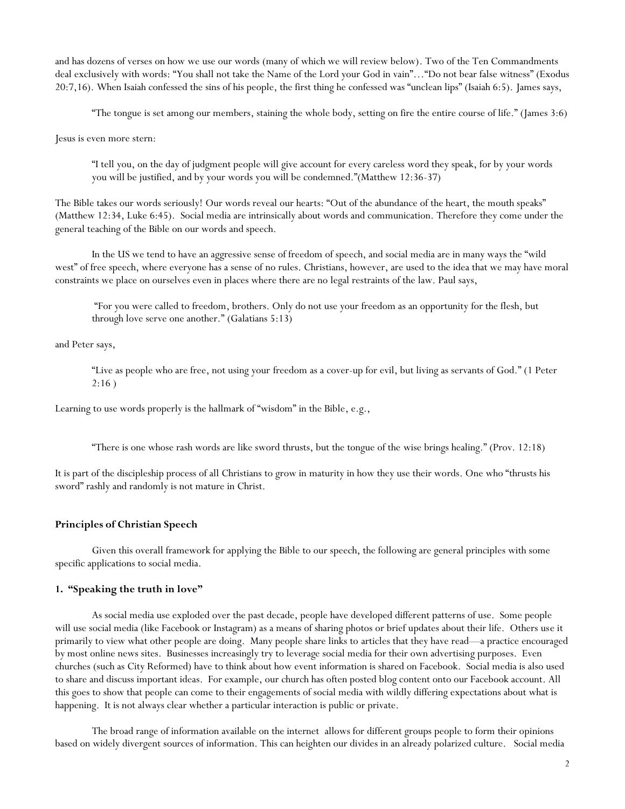and has dozens of verses on how we use our words (many of which we will review below). Two of the Ten Commandments deal exclusively with words: "You shall not take the Name of the Lord your God in vain"…"Do not bear false witness" (Exodus 20:7,16). When Isaiah confessed the sins of his people, the first thing he confessed was "unclean lips" (Isaiah 6:5). James says,

"The tongue is set among our members, staining the whole body, setting on fire the entire course of life." (James 3:6)

Jesus is even more stern:

"I tell you, on the day of judgment people will give account for every careless word they speak, for by your words you will be justified, and by your words you will be condemned."(Matthew 12:36-37)

The Bible takes our words seriously! Our words reveal our hearts: "Out of the abundance of the heart, the mouth speaks" (Matthew 12:34, Luke 6:45). Social media are intrinsically about words and communication. Therefore they come under the general teaching of the Bible on our words and speech.

In the US we tend to have an aggressive sense of freedom of speech, and social media are in many ways the "wild west" of free speech, where everyone has a sense of no rules. Christians, however, are used to the idea that we may have moral constraints we place on ourselves even in places where there are no legal restraints of the law. Paul says,

"For you were called to freedom, brothers. Only do not use your freedom as an opportunity for the flesh, but through love serve one another." (Galatians 5:13)

and Peter says,

"Live as people who are free, not using your freedom as a cover-up for evil, but living as servants of God." (1 Peter  $2:16$ )

Learning to use words properly is the hallmark of "wisdom" in the Bible, e.g.,

"There is one whose rash words are like sword thrusts, but the tongue of the wise brings healing." (Prov. 12:18)

It is part of the discipleship process of all Christians to grow in maturity in how they use their words. One who "thrusts his sword" rashly and randomly is not mature in Christ.

### **Principles of Christian Speech**

Given this overall framework for applying the Bible to our speech, the following are general principles with some specific applications to social media.

## **1. "Speaking the truth in love"**

As social media use exploded over the past decade, people have developed different patterns of use. Some people will use social media (like Facebook or Instagram) as a means of sharing photos or brief updates about their life. Others use it primarily to view what other people are doing. Many people share links to articles that they have read—a practice encouraged by most online news sites. Businesses increasingly try to leverage social media for their own advertising purposes. Even churches (such as City Reformed) have to think about how event information is shared on Facebook. Social media is also used to share and discuss important ideas. For example, our church has often posted blog content onto our Facebook account. All this goes to show that people can come to their engagements of social media with wildly differing expectations about what is happening. It is not always clear whether a particular interaction is public or private.

The broad range of information available on the internet allows for different groups people to form their opinions based on widely divergent sources of information. This can heighten our divides in an already polarized culture. Social media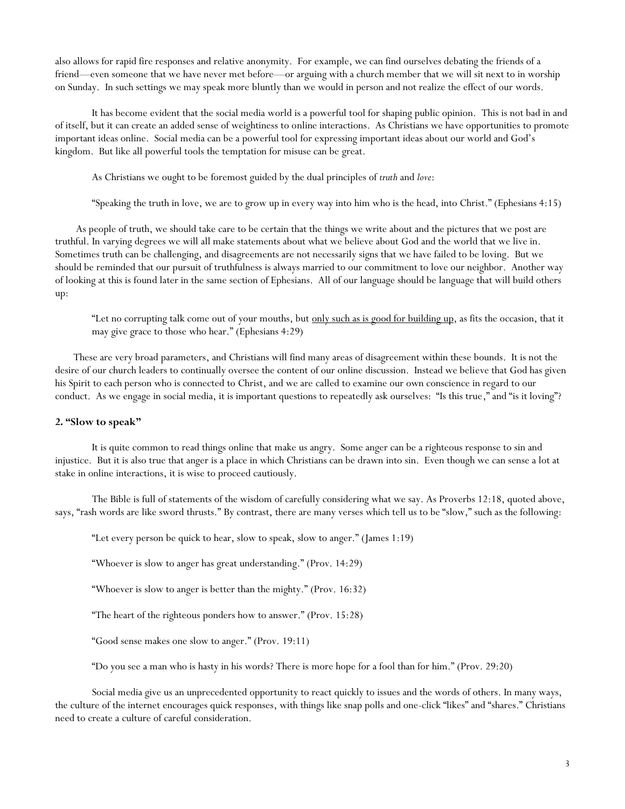also allows for rapid fire responses and relative anonymity. For example, we can find ourselves debating the friends of a friend—even someone that we have never met before—or arguing with a church member that we will sit next to in worship on Sunday. In such settings we may speak more bluntly than we would in person and not realize the effect of our words.

It has become evident that the social media world is a powerful tool for shaping public opinion. This is not bad in and of itself, but it can create an added sense of weightiness to online interactions. As Christians we have opportunities to promote important ideas online. Social media can be a powerful tool for expressing important ideas about our world and God's kingdom. But like all powerful tools the temptation for misuse can be great.

As Christians we ought to be foremost guided by the dual principles of *truth* and *love*:

"Speaking the truth in love, we are to grow up in every way into him who is the head, into Christ." (Ephesians 4:15)

As people of truth, we should take care to be certain that the things we write about and the pictures that we post are truthful. In varying degrees we will all make statements about what we believe about God and the world that we live in. Sometimes truth can be challenging, and disagreements are not necessarily signs that we have failed to be loving. But we should be reminded that our pursuit of truthfulness is always married to our commitment to love our neighbor. Another way of looking at this is found later in the same section of Ephesians. All of our language should be language that will build others up:

"Let no corrupting talk come out of your mouths, but only such as is good for building up, as fits the occasion, that it may give grace to those who hear." (Ephesians 4:29)

These are very broad parameters, and Christians will find many areas of disagreement within these bounds. It is not the desire of our church leaders to continually oversee the content of our online discussion. Instead we believe that God has given his Spirit to each person who is connected to Christ, and we are called to examine our own conscience in regard to our conduct. As we engage in social media, it is important questions to repeatedly ask ourselves: "Is this true," and "is it loving"?

#### **2. "Slow to speak"**

It is quite common to read things online that make us angry. Some anger can be a righteous response to sin and injustice. But it is also true that anger is a place in which Christians can be drawn into sin. Even though we can sense a lot at stake in online interactions, it is wise to proceed cautiously.

The Bible is full of statements of the wisdom of carefully considering what we say. As Proverbs 12:18, quoted above, says, "rash words are like sword thrusts." By contrast, there are many verses which tell us to be "slow," such as the following:

"Let every person be quick to hear, slow to speak, slow to anger." (James 1:19)

"Whoever is slow to anger has great understanding." (Prov. 14:29)

"Whoever is slow to anger is better than the mighty." (Prov. 16:32)

"The heart of the righteous ponders how to answer." (Prov. 15:28)

"Good sense makes one slow to anger." (Prov. 19:11)

"Do you see a man who is hasty in his words? There is more hope for a fool than for him." (Prov. 29:20)

Social media give us an unprecedented opportunity to react quickly to issues and the words of others. In many ways, the culture of the internet encourages quick responses, with things like snap polls and one-click "likes" and "shares." Christians need to create a culture of careful consideration.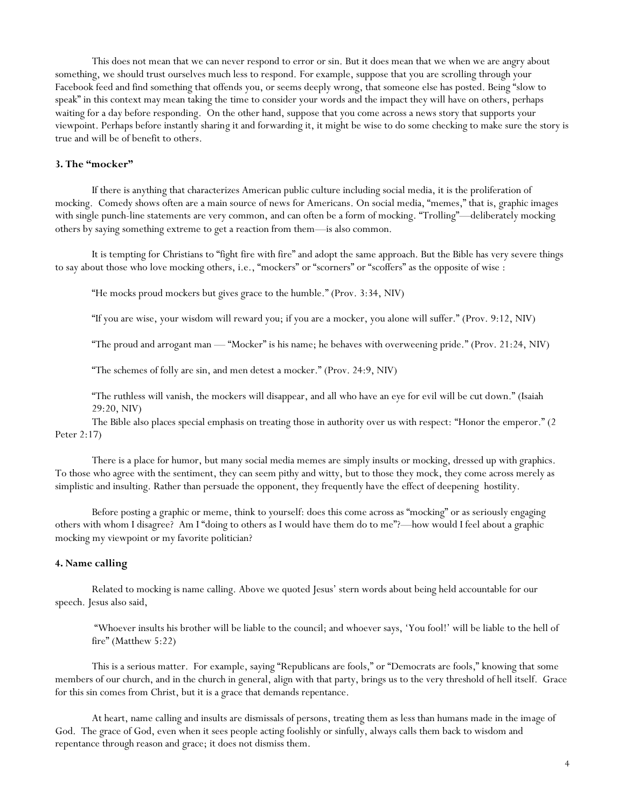This does not mean that we can never respond to error or sin. But it does mean that we when we are angry about something, we should trust ourselves much less to respond. For example, suppose that you are scrolling through your Facebook feed and find something that offends you, or seems deeply wrong, that someone else has posted. Being "slow to speak" in this context may mean taking the time to consider your words and the impact they will have on others, perhaps waiting for a day before responding. On the other hand, suppose that you come across a news story that supports your viewpoint. Perhaps before instantly sharing it and forwarding it, it might be wise to do some checking to make sure the story is true and will be of benefit to others.

## **3. The "mocker"**

If there is anything that characterizes American public culture including social media, it is the proliferation of mocking. Comedy shows often are a main source of news for Americans. On social media, "memes," that is, graphic images with single punch-line statements are very common, and can often be a form of mocking. "Trolling"—deliberately mocking others by saying something extreme to get a reaction from them—is also common.

It is tempting for Christians to "fight fire with fire" and adopt the same approach. But the Bible has very severe things to say about those who love mocking others, i.e., "mockers" or "scorners" or "scoffers" as the opposite of wise :

"He mocks proud mockers but gives grace to the humble." (Prov. 3:34, NIV)

"If you are wise, your wisdom will reward you; if you are a mocker, you alone will suffer." (Prov. 9:12, NIV)

"The proud and arrogant man — "Mocker" is his name; he behaves with overweening pride." (Prov. 21:24, NIV)

"The schemes of folly are sin, and men detest a mocker." (Prov. 24:9, NIV)

"The ruthless will vanish, the mockers will disappear, and all who have an eye for evil will be cut down." (Isaiah 29:20, NIV)

The Bible also places special emphasis on treating those in authority over us with respect: "Honor the emperor." (2 Peter 2:17)

There is a place for humor, but many social media memes are simply insults or mocking, dressed up with graphics. To those who agree with the sentiment, they can seem pithy and witty, but to those they mock, they come across merely as simplistic and insulting. Rather than persuade the opponent, they frequently have the effect of deepening hostility.

Before posting a graphic or meme, think to yourself: does this come across as "mocking" or as seriously engaging others with whom I disagree? Am I "doing to others as I would have them do to me"?—how would I feel about a graphic mocking my viewpoint or my favorite politician?

### **4. Name calling**

Related to mocking is name calling. Above we quoted Jesus' stern words about being held accountable for our speech. Jesus also said,

"Whoever insults his brother will be liable to the council; and whoever says, 'You fool!' will be liable to the hell of fire" (Matthew 5:22)

This is a serious matter. For example, saying "Republicans are fools," or "Democrats are fools," knowing that some members of our church, and in the church in general, align with that party, brings us to the very threshold of hell itself. Grace for this sin comes from Christ, but it is a grace that demands repentance.

At heart, name calling and insults are dismissals of persons, treating them as less than humans made in the image of God. The grace of God, even when it sees people acting foolishly or sinfully, always calls them back to wisdom and repentance through reason and grace; it does not dismiss them.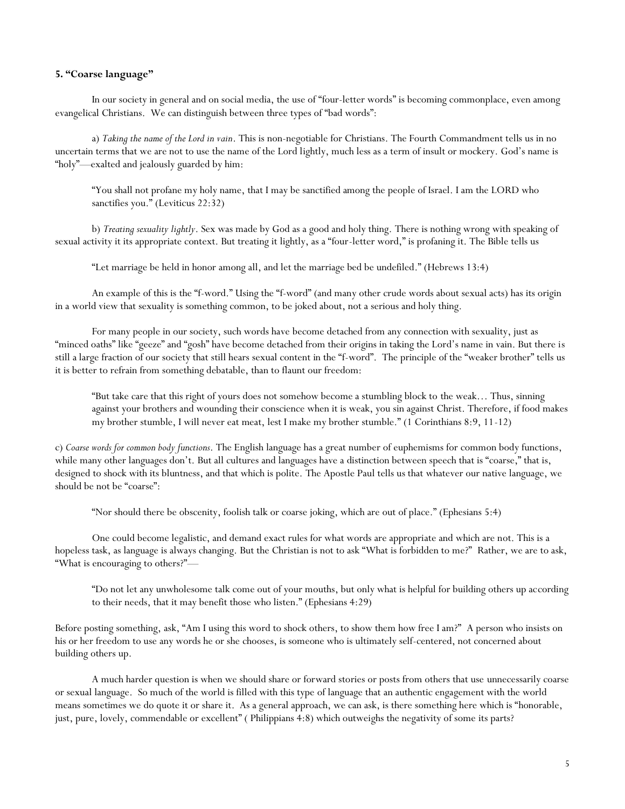### **5. "Coarse language"**

In our society in general and on social media, the use of "four-letter words" is becoming commonplace, even among evangelical Christians. We can distinguish between three types of "bad words":

a) *Taking the name of the Lord in vain*. This is non-negotiable for Christians. The Fourth Commandment tells us in no uncertain terms that we are not to use the name of the Lord lightly, much less as a term of insult or mockery. God's name is "holy"—exalted and jealously guarded by him:

"You shall not profane my holy name, that I may be sanctified among the people of Israel. I am the LORD who sanctifies you." (Leviticus 22:32)

b) *Treating sexuality lightly*. Sex was made by God as a good and holy thing. There is nothing wrong with speaking of sexual activity it its appropriate context. But treating it lightly, as a "four-letter word," is profaning it. The Bible tells us

"Let marriage be held in honor among all, and let the marriage bed be undefiled." (Hebrews 13:4)

An example of this is the "f-word." Using the "f-word" (and many other crude words about sexual acts) has its origin in a world view that sexuality is something common, to be joked about, not a serious and holy thing.

For many people in our society, such words have become detached from any connection with sexuality, just as "minced oaths" like "geeze" and "gosh" have become detached from their origins in taking the Lord's name in vain. But there is still a large fraction of our society that still hears sexual content in the "f-word". The principle of the "weaker brother" tells us it is better to refrain from something debatable, than to flaunt our freedom:

"But take care that this right of yours does not somehow become a stumbling block to the weak… Thus, sinning against your brothers and wounding their conscience when it is weak, you sin against Christ. Therefore, if food makes my brother stumble, I will never eat meat, lest I make my brother stumble." (1 Corinthians 8:9, 11-12)

c) *Coarse words for common body functions*. The English language has a great number of euphemisms for common body functions, while many other languages don't. But all cultures and languages have a distinction between speech that is "coarse," that is, designed to shock with its bluntness, and that which is polite. The Apostle Paul tells us that whatever our native language, we should be not be "coarse":

"Nor should there be obscenity, foolish talk or coarse joking, which are out of place." (Ephesians 5:4)

One could become legalistic, and demand exact rules for what words are appropriate and which are not. This is a hopeless task, as language is always changing. But the Christian is not to ask "What is forbidden to me?" Rather, we are to ask, "What is encouraging to others?"—

"Do not let any unwholesome talk come out of your mouths, but only what is helpful for building others up according to their needs, that it may benefit those who listen." (Ephesians 4:29)

Before posting something, ask, "Am I using this word to shock others, to show them how free I am?" A person who insists on his or her freedom to use any words he or she chooses, is someone who is ultimately self-centered, not concerned about building others up.

A much harder question is when we should share or forward stories or posts from others that use unnecessarily coarse or sexual language. So much of the world is filled with this type of language that an authentic engagement with the world means sometimes we do quote it or share it. As a general approach, we can ask, is there something here which is "honorable, just, pure, lovely, commendable or excellent" (Philippians 4:8) which outweighs the negativity of some its parts?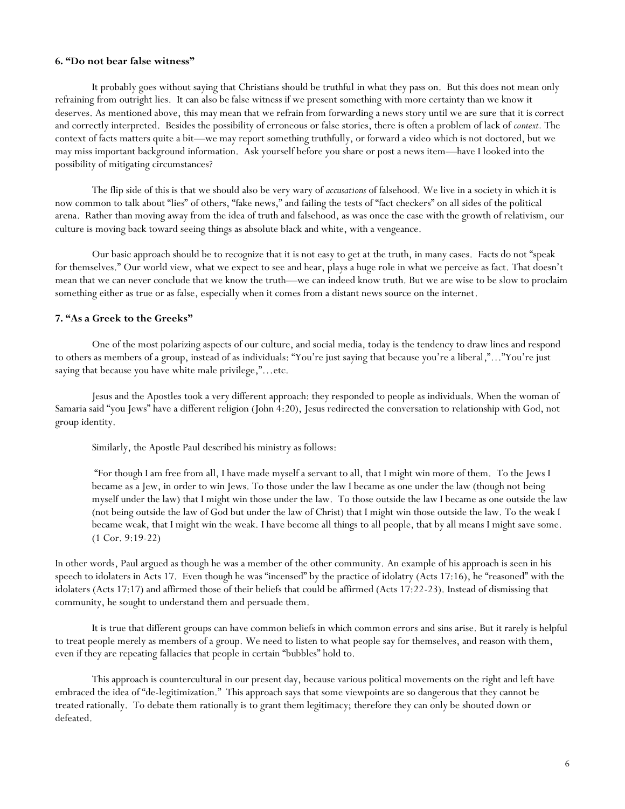#### **6. "Do not bear false witness"**

It probably goes without saying that Christians should be truthful in what they pass on. But this does not mean only refraining from outright lies. It can also be false witness if we present something with more certainty than we know it deserves. As mentioned above, this may mean that we refrain from forwarding a news story until we are sure that it is correct and correctly interpreted. Besides the possibility of erroneous or false stories, there is often a problem of lack of *context.* The context of facts matters quite a bit—we may report something truthfully, or forward a video which is not doctored, but we may miss important background information. Ask yourself before you share or post a news item—have I looked into the possibility of mitigating circumstances?

The flip side of this is that we should also be very wary of *accusations* of falsehood. We live in a society in which it is now common to talk about "lies" of others, "fake news," and failing the tests of "fact checkers" on all sides of the political arena. Rather than moving away from the idea of truth and falsehood, as was once the case with the growth of relativism, our culture is moving back toward seeing things as absolute black and white, with a vengeance.

Our basic approach should be to recognize that it is not easy to get at the truth, in many cases. Facts do not "speak for themselves." Our world view, what we expect to see and hear, plays a huge role in what we perceive as fact. That doesn't mean that we can never conclude that we know the truth—we can indeed know truth. But we are wise to be slow to proclaim something either as true or as false, especially when it comes from a distant news source on the internet.

### **7. "As a Greek to the Greeks"**

One of the most polarizing aspects of our culture, and social media, today is the tendency to draw lines and respond to others as members of a group, instead of as individuals: "You're just saying that because you're a liberal,"…"You're just saying that because you have white male privilege,"…etc.

Jesus and the Apostles took a very different approach: they responded to people as individuals. When the woman of Samaria said "you Jews" have a different religion (John 4:20), Jesus redirected the conversation to relationship with God, not group identity.

Similarly, the Apostle Paul described his ministry as follows:

"For though I am free from all, I have made myself a servant to all, that I might win more of them. To the Jews I became as a Jew, in order to win Jews. To those under the law I became as one under the law (though not being myself under the law) that I might win those under the law. To those outside the law I became as one outside the law (not being outside the law of God but under the law of Christ) that I might win those outside the law. To the weak I became weak, that I might win the weak. I have become all things to all people, that by all means I might save some. (1 Cor. 9:19-22)

In other words, Paul argued as though he was a member of the other community. An example of his approach is seen in his speech to idolaters in Acts 17. Even though he was "incensed" by the practice of idolatry (Acts 17:16), he "reasoned" with the idolaters (Acts 17:17) and affirmed those of their beliefs that could be affirmed (Acts 17:22-23). Instead of dismissing that community, he sought to understand them and persuade them.

It is true that different groups can have common beliefs in which common errors and sins arise. But it rarely is helpful to treat people merely as members of a group. We need to listen to what people say for themselves, and reason with them, even if they are repeating fallacies that people in certain "bubbles" hold to.

This approach is countercultural in our present day, because various political movements on the right and left have embraced the idea of "de-legitimization." This approach says that some viewpoints are so dangerous that they cannot be treated rationally. To debate them rationally is to grant them legitimacy; therefore they can only be shouted down or defeated.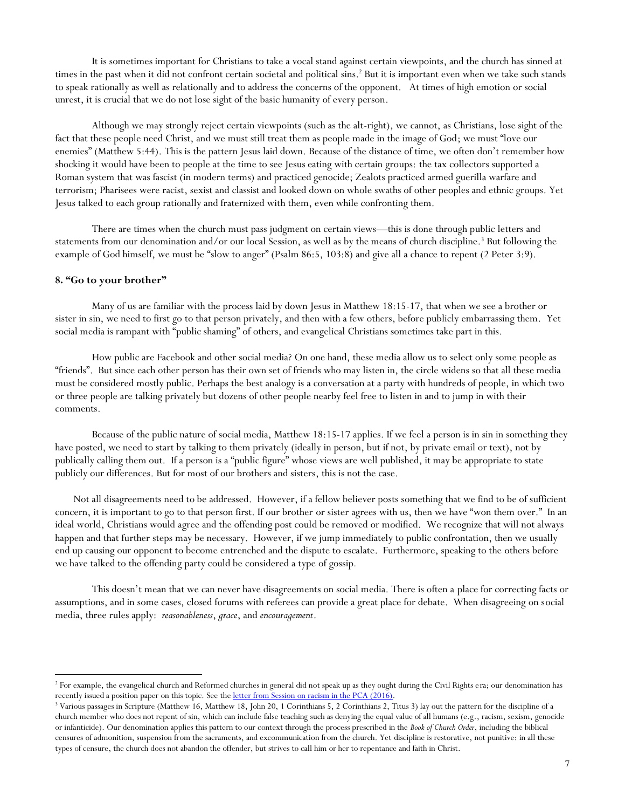It is sometimes important for Christians to take a vocal stand against certain viewpoints, and the church has sinned at times in the past when it did not confront certain societal and political sins. <sup>2</sup> But it is important even when we take such stands to speak rationally as well as relationally and to address the concerns of the opponent. At times of high emotion or social unrest, it is crucial that we do not lose sight of the basic humanity of every person.

Although we may strongly reject certain viewpoints (such as the alt-right), we cannot, as Christians, lose sight of the fact that these people need Christ, and we must still treat them as people made in the image of God; we must "love our enemies" (Matthew 5:44). This is the pattern Jesus laid down. Because of the distance of time, we often don't remember how shocking it would have been to people at the time to see Jesus eating with certain groups: the tax collectors supported a Roman system that was fascist (in modern terms) and practiced genocide; Zealots practiced armed guerilla warfare and terrorism; Pharisees were racist, sexist and classist and looked down on whole swaths of other peoples and ethnic groups. Yet Jesus talked to each group rationally and fraternized with them, even while confronting them.

There are times when the church must pass judgment on certain views—this is done through public letters and statements from our denomination and/or our local Session, as well as by the means of church discipline.<sup>3</sup> But following the example of God himself, we must be "slow to anger" (Psalm 86:5, 103:8) and give all a chance to repent (2 Peter 3:9).

### **8. "Go to your brother"**

 $\overline{a}$ 

Many of us are familiar with the process laid by down Jesus in Matthew 18:15-17, that when we see a brother or sister in sin, we need to first go to that person privately, and then with a few others, before publicly embarrassing them. Yet social media is rampant with "public shaming" of others, and evangelical Christians sometimes take part in this.

How public are Facebook and other social media? On one hand, these media allow us to select only some people as "friends". But since each other person has their own set of friends who may listen in, the circle widens so that all these media must be considered mostly public. Perhaps the best analogy is a conversation at a party with hundreds of people, in which two or three people are talking privately but dozens of other people nearby feel free to listen in and to jump in with their comments.

Because of the public nature of social media, Matthew 18:15-17 applies. If we feel a person is in sin in something they have posted, we need to start by talking to them privately (ideally in person, but if not, by private email or text), not by publically calling them out. If a person is a "public figure" whose views are well published, it may be appropriate to state publicly our differences. But for most of our brothers and sisters, this is not the case.

Not all disagreements need to be addressed. However, if a fellow believer posts something that we find to be of sufficient concern, it is important to go to that person first. If our brother or sister agrees with us, then we have "won them over." In an ideal world, Christians would agree and the offending post could be removed or modified. We recognize that will not always happen and that further steps may be necessary. However, if we jump immediately to public confrontation, then we usually end up causing our opponent to become entrenched and the dispute to escalate. Furthermore, speaking to the others before we have talked to the offending party could be considered a type of gossip*.* 

This doesn't mean that we can never have disagreements on social media. There is often a place for correcting facts or assumptions, and in some cases, closed forums with referees can provide a great place for debate. When disagreeing on social media, three rules apply: *reasonableness*, *grace*, and *encouragement*.

<sup>&</sup>lt;sup>2</sup> For example, the evangelical church and Reformed churches in general did not speak up as they ought during the Civil Rights era; our denomination has recently issued a position paper on this topic. See the letter from Session [on racism in the PCA](http://www.cityreformed.org/uploads/4/4/0/9/44096805/letter_to_congregation_on_pca_resolution.pdf) (2016).

<sup>&</sup>lt;sup>3</sup> Various passages in Scripture (Matthew 16, Matthew 18, John 20, 1 Corinthians 5, 2 Corinthians 2, Titus 3) lay out the pattern for the discipline of a church member who does not repent of sin, which can include false teaching such as denying the equal value of all humans (e.g., racism, sexism, genocide or infanticide). Our denomination applies this pattern to our context through the process prescribed in the *Book of Church Order*, including the biblical censures of admonition, suspension from the sacraments, and excommunication from the church. Yet discipline is restorative, not punitive: in all these types of censure, the church does not abandon the offender, but strives to call him or her to repentance and faith in Christ.